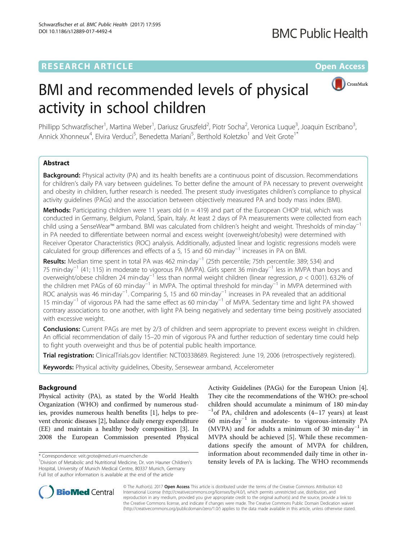# **RESEARCH ARTICLE External Structure Community Community Community Community Community Community Community Community**

# **BMC Public Health**



# BMI and recommended levels of physical activity in school children

Phillipp Schwarzfischer<sup>1</sup>, Martina Weber<sup>1</sup>, Dariusz Gruszfeld<sup>2</sup>, Piotr Socha<sup>2</sup>, Veronica Luque<sup>3</sup>, Joaquin Escribano<sup>3</sup> , Annick Xhonneux<sup>4</sup>, Elvira Verduci<sup>5</sup>, Benedetta Mariani<sup>5</sup>, Berthold Koletzko<sup>1</sup> and Veit Grote<sup>1\*</sup>

# Abstract

Background: Physical activity (PA) and its health benefits are a continuous point of discussion. Recommendations for children's daily PA vary between guidelines. To better define the amount of PA necessary to prevent overweight and obesity in children, further research is needed. The present study investigates children's compliance to physical activity guidelines (PAGs) and the association between objectively measured PA and body mass index (BMI).

**Methods:** Participating children were 11 years old ( $n = 419$ ) and part of the European CHOP trial, which was conducted in Germany, Belgium, Poland, Spain, Italy. At least 2 days of PA measurements were collected from each child using a SenseWear™ armband. BMI was calculated from children's height and weight. Thresholds of min·day−<sup>1</sup> in PA needed to differentiate between normal and excess weight (overweight/obesity) were determined with Receiver Operator Characteristics (ROC) analysis. Additionally, adjusted linear and logistic regressions models were calculated for group differences and effects of a 5, 15 and 60 min·day<sup>-1</sup> increases in PA on BMI.

Results: Median time spent in total PA was 462 min·day<sup>-1</sup> (25th percentile; 75th percentile: 389; 534) and 75 min·day−<sup>1</sup> (41; 115) in moderate to vigorous PA (MVPA). Girls spent 36 min·day−<sup>1</sup> less in MVPA than boys and overweight/obese children 24 min·day<sup>-1</sup> less than normal weight children (linear regression, p < 0.001). 63.2% of the children met PAGs of 60 min·day<sup>−1</sup> in MVPA. The optimal threshold for min·day<sup>−1</sup> in MVPA determined with ROC analysis was 46 min·day<sup>−1</sup>. Comparing 5, 15 and 60 min·day<sup>−1</sup> increases in PA revealed that an additional 15 min·day−<sup>1</sup> of vigorous PA had the same effect as 60 min·day−<sup>1</sup> of MVPA. Sedentary time and light PA showed contrary associations to one another, with light PA being negatively and sedentary time being positively associated with excessive weight.

**Conclusions:** Current PAGs are met by 2/3 of children and seem appropriate to prevent excess weight in children. An official recommendation of daily 15–20 min of vigorous PA and further reduction of sedentary time could help to fight youth overweight and thus be of potential public health importance.

Trial registration: ClinicalTrials.gov Identifier: [NCT00338689](https://clinicaltrials.gov/ct2/show/NCT00338689). Registered: June 19, 2006 (retrospectively registered).

Keywords: Physical activity guidelines, Obesity, Sensewear armband, Accelerometer

# Background

Physical activity (PA), as stated by the World Health Organization (WHO) and confirmed by numerous studies, provides numerous health benefits [[1\]](#page-7-0), helps to prevent chronic diseases [\[2\]](#page-7-0), balance daily energy expenditure (EE) and maintain a healthy body composition [[3](#page-7-0)]. In 2008 the European Commission presented Physical

Activity Guidelines (PAGs) for the European Union [[4](#page-7-0)]. They cite the recommendations of the WHO: pre-school children should accumulate a minimum of 180 min·day −1 of PA, children and adolescents (4–17 years) at least 60 min·day−<sup>1</sup> in moderate- to vigorous-intensity PA (MVPA) and for adults a minimum of 30 min·day<sup>-1</sup> in MVPA should be achieved [\[5](#page-7-0)]. While these recommendations specify the amount of MVPA for children, information about recommended daily time in other intensity levels of PA is lacking. The WHO recommends



© The Author(s). 2017 **Open Access** This article is distributed under the terms of the Creative Commons Attribution 4.0 International License [\(http://creativecommons.org/licenses/by/4.0/](http://creativecommons.org/licenses/by/4.0/)), which permits unrestricted use, distribution, and reproduction in any medium, provided you give appropriate credit to the original author(s) and the source, provide a link to the Creative Commons license, and indicate if changes were made. The Creative Commons Public Domain Dedication waiver [\(http://creativecommons.org/publicdomain/zero/1.0/](http://creativecommons.org/publicdomain/zero/1.0/)) applies to the data made available in this article, unless otherwise stated.

<sup>\*</sup> Correspondence: [veit.grote@med.uni-muenchen.de](mailto:veit.grote@med.uni-muenchen.de) <sup>1</sup>

<sup>&</sup>lt;sup>1</sup> Division of Metabolic and Nutritional Medicine, Dr. von Hauner Children's Hospital, University of Munich Medical Centre, 80337 Munich, Germany Full list of author information is available at the end of the article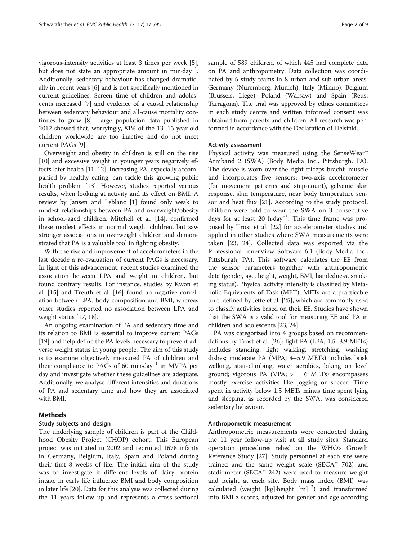vigorous-intensity activities at least 3 times per week [[5](#page-7-0)], but does not state an appropriate amount in min·day−<sup>1</sup> . Additionally, sedentary behaviour has changed dramatically in recent years [\[6](#page-7-0)] and is not specifically mentioned in current guidelines. Screen time of children and adolescents increased [\[7\]](#page-7-0) and evidence of a causal relationship between sedentary behaviour and all-cause mortality continues to grow [[8\]](#page-7-0). Large population data published in 2012 showed that, worryingly, 81% of the 13–15 year-old children worldwide are too inactive and do not meet current PAGs [\[9](#page-7-0)].

Overweight and obesity in children is still on the rise [[10](#page-7-0)] and excessive weight in younger years negatively effects later health [\[11, 12](#page-8-0)]. Increasing PA, especially accompanied by healthy eating, can tackle this growing public health problem [\[13\]](#page-8-0). However, studies reported various results, when looking at activity and its effect on BMI. A review by Jansen and Leblanc [[1\]](#page-7-0) found only weak to modest relationships between PA and overweight/obesity in school-aged children. Mitchell et al. [[14](#page-8-0)], confirmed these modest effects in normal weight children, but saw stronger associations in overweight children and demonstrated that PA is a valuable tool in fighting obesity.

With the rise and improvement of accelerometers in the last decade a re-evaluation of current PAGs is necessary. In light of this advancement, recent studies examined the association between LPA and weight in children, but found contrary results. For instance, studies by Kwon et al. [[15](#page-8-0)] and Treuth et al. [\[16\]](#page-8-0) found an negative correlation between LPA, body composition and BMI, whereas other studies reported no association between LPA and weight status [[17](#page-8-0), [18\]](#page-8-0).

An ongoing examination of PA and sedentary time and its relation to BMI is essential to improve current PAGs [[19](#page-8-0)] and help define the PA levels necessary to prevent adverse weight status in young people. The aim of this study is to examine objectively measured PA of children and their compliance to PAGs of 60 min·day<sup>-1</sup> in MVPA per day and investigate whether these guidelines are adequate. Additionally, we analyse different intensities and durations of PA and sedentary time and how they are associated with BMI.

## Methods

## Study subjects and design

The underlying sample of children is part of the Childhood Obesity Project (CHOP) cohort. This European project was initiated in 2002 and recruited 1678 infants in Germany, Belgium, Italy, Spain and Poland during their first 8 weeks of life. The initial aim of the study was to investigate if different levels of dairy protein intake in early life influence BMI and body composition in later life [\[20\]](#page-8-0). Data for this analysis was collected during the 11 years follow up and represents a cross-sectional sample of 589 children, of which 445 had complete data on PA and anthropometry. Data collection was coordinated by 5 study teams in 8 urban and sub-urban areas: Germany (Nuremberg, Munich), Italy (Milano), Belgium (Brussels, Liege), Poland (Warsaw) and Spain (Reus, Tarragona). The trial was approved by ethics committees in each study centre and written informed consent was obtained from parents and children. All research was performed in accordance with the Declaration of Helsinki.

#### Activity assessment

Physical activity was measured using the SenseWear™ Armband 2 (SWA) (Body Media Inc., Pittsburgh, PA). The device is worn over the right triceps brachii muscle and incorporates five sensors: two-axis accelerometer (for movement patterns and step-count), galvanic skin response, skin temperature, near body temperature sensor and heat flux [\[21\]](#page-8-0). According to the study protocol, children were told to wear the SWA on 3 consecutive days for at least 20 h·day<sup>-1</sup>. This time frame was proposed by Trost et al. [[22](#page-8-0)] for accelerometer studies and applied in other studies where SWA measurements were taken [\[23](#page-8-0), [24](#page-8-0)]. Collected data was exported via the Professional InnerView Software 6.1 (Body Media Inc., Pittsburgh, PA). This software calculates the EE from the sensor parameters together with anthropometric data (gender, age, height, weight, BMI, handedness, smoking status). Physical activity intensity is classified by Metabolic Equivalents of Task (MET). METs are a practicable unit, defined by Jette et al. [\[25](#page-8-0)], which are commonly used to classify activities based on their EE. Studies have shown that the SWA is a valid tool for measuring EE and PA in children and adolescents [\[23, 24](#page-8-0)].

PA was categorized into 4 groups based on recommendations by Trost et al. [\[26\]](#page-8-0): light PA (LPA; 1.5–3.9 METs) includes standing, light walking, stretching, washing dishes; moderate PA (MPA; 4–5.9 METs) includes brisk walking, stair-climbing, water aerobics, biking on level ground; vigorous PA (VPA;  $> 6$  METs) encompasses mostly exercise activities like jogging or soccer. Time spent in activity below 1.5 METs minus time spent lying and sleeping, as recorded by the SWA, was considered sedentary behaviour.

#### Anthropometric measurement

Anthropometric measurements were conducted during the 11 year follow-up visit at all study sites. Standard operation procedures relied on the WHO's Growth Reference Study [\[27](#page-8-0)]. Study personnel at each site were trained and the same weight scale (SECA™ 702) and stadiometer (SECA™ 242) were used to measure weight and height at each site. Body mass index (BMI) was calculated (weight [kg]·height [m]−<sup>2</sup> ) and transformed into BMI z-scores, adjusted for gender and age according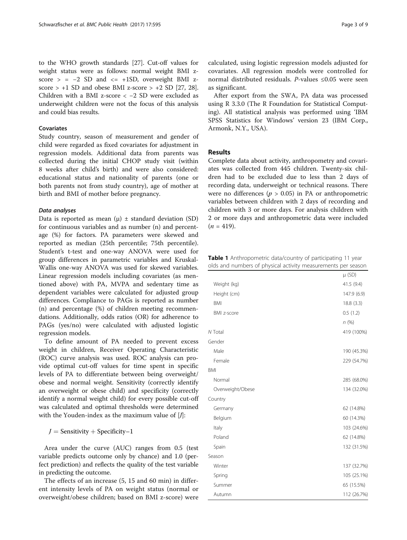<span id="page-2-0"></span>to the WHO growth standards [\[27\]](#page-8-0). Cut-off values for weight status were as follows: normal weight BMI zscore > =  $-2$  SD and  $\le$  +1SD, overweight BMI zscore  $> +1$  SD and obese BMI z-score  $> +2$  SD [\[27, 28](#page-8-0)]. Children with a BMI z-score < −2 SD were excluded as underweight children were not the focus of this analysis and could bias results.

# Covariates

Study country, season of measurement and gender of child were regarded as fixed covariates for adjustment in regression models. Additional data from parents was collected during the initial CHOP study visit (within 8 weeks after child's birth) and were also considered: educational status and nationality of parents (one or both parents not from study country), age of mother at birth and BMI of mother before pregnancy.

#### Data analyses

Data is reported as mean  $(\mu)$   $\pm$  standard deviation (SD) for continuous variables and as number (n) and percentage (%) for factors. PA parameters were skewed and reported as median (25th percentile; 75th percentile). Student's t-test and one-way ANOVA were used for group differences in parametric variables and Kruskal-Wallis one-way ANOVA was used for skewed variables. Linear regression models including covariates (as mentioned above) with PA, MVPA and sedentary time as dependent variables were calculated for adjusted group differences. Compliance to PAGs is reported as number (n) and percentage (%) of children meeting recommendations. Additionally, odds ratios (OR) for adherence to PAGs (yes/no) were calculated with adjusted logistic regression models.

To define amount of PA needed to prevent excess weight in children, Receiver Operating Characteristic (ROC) curve analysis was used. ROC analysis can provide optimal cut-off values for time spent in specific levels of PA to differentiate between being overweight/ obese and normal weight. Sensitivity (correctly identify an overweight or obese child) and specificity (correctly identify a normal weight child) for every possible cut-off was calculated and optimal thresholds were determined with the Youden-index as the maximum value of [J]:

## $J =$  Sensitivity + Specificity-1

Area under the curve (AUC) ranges from 0.5 (test variable predicts outcome only by chance) and 1.0 (perfect prediction) and reflects the quality of the test variable in predicting the outcome.

The effects of an increase (5, 15 and 60 min) in different intensity levels of PA on weight status (normal or overweight/obese children; based on BMI z-score) were

calculated, using logistic regression models adjusted for covariates. All regression models were controlled for normal distributed residuals. P-values ≤0.05 were seen as significant.

After export from the SWA, PA data was processed using R 3.3.0 (The R Foundation for Statistical Computing). All statistical analysis was performed using 'IBM SPSS Statistics for Windows' version 23 (IBM Corp., Armonk, N.Y., USA).

# Results

Complete data about activity, anthropometry and covariates was collected from 445 children. Twenty-six children had to be excluded due to less than 2 days of recording data, underweight or technical reasons. There were no differences ( $p > 0.05$ ) in PA or anthropometric variables between children with 2 days of recording and children with 3 or more days. For analysis children with 2 or more days and anthropometric data were included  $(n = 419)$ .

Table 1 Anthropometric data/country of participating 11 year olds and numbers of physical activity measurements per season

|                    | $\mu$ (SD)  |
|--------------------|-------------|
| Weight (kg)        | 41.5 (9.4)  |
| Height (cm)        | 147.9 (6.9) |
| <b>BMI</b>         | 18.8 (3.3)  |
| <b>BMI</b> z-score | 0.5(1.2)    |
|                    | n(%)        |
| N Total            | 419 (100%)  |
| Gender             |             |
| Male               | 190 (45.3%) |
| Female             | 229 (54.7%) |
| <b>BMI</b>         |             |
| Normal             | 285 (68.0%) |
| Overweight/Obese   | 134 (32.0%) |
| Country            |             |
| Germany            | 62 (14.8%)  |
| Belgium            | 60 (14.3%)  |
| Italy              | 103 (24.6%) |
| Poland             | 62 (14.8%)  |
| Spain              | 132 (31.5%) |
| Season             |             |
| Winter             | 137 (32.7%) |
| Spring             | 105 (25.1%) |
| Summer             | 65 (15.5%)  |
| Autumn             | 112 (26.7%) |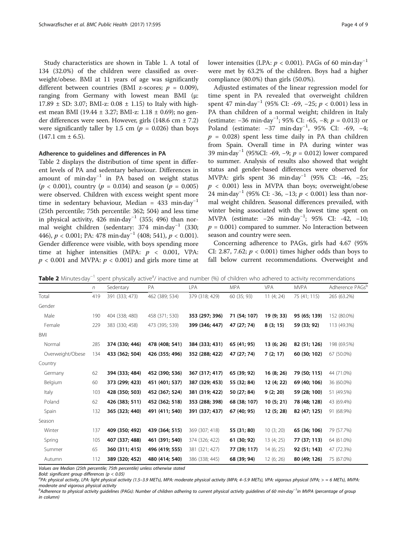<span id="page-3-0"></span>Study characteristics are shown in Table [1](#page-2-0). A total of 134 (32.0%) of the children were classified as overweight/obese. BMI at 11 years of age was significantly different between countries (BMI z-scores;  $p = 0.009$ ), ranging from Germany with lowest mean BMI (μ:  $17.89 \pm SD$ : 3.07; BMI-z: 0.08  $\pm$  1.15) to Italy with highest mean BMI (19.44 ± 3.27; BMI-z: 1.18 ± 0.69); no gender differences were seen. However, girls (148.6 cm ± 7.2) were significantly taller by 1.5 cm ( $p = 0.026$ ) than boys  $(147.1 \text{ cm } \pm 6.5)$ .

## Adherence to guidelines and differences in PA

Table [2](#page-4-0) displays the distribution of time spent in different levels of PA and sedentary behaviour. Differences in amount of min·day<sup>-1</sup> in PA based on weight status  $(p < 0.001)$ , country  $(p = 0.034)$  and season  $(p = 0.005)$ were observed. Children with excess weight spent more time in sedentary behaviour, Median =  $433$  min·day<sup>-1</sup> (25th percentile; 75th percentile: 362; 504) and less time in physical activity, 426 min·day−<sup>1</sup> (355; 496) than normal weight children (sedentary: 374 min·day−<sup>1</sup> (330; 446),  $p < 0.001$ ; PA: 478 min·day<sup>-1</sup> (408; 541),  $p < 0.001$ ). Gender difference were visible, with boys spending more time at higher intensities (MPA:  $p < 0.001$ , VPA:  $p < 0.001$  and MVPA:  $p < 0.001$ ) and girls more time at lower intensities (LPA:  $p < 0.001$ ). PAGs of 60 min·day<sup>-1</sup> were met by 63.2% of the children. Boys had a higher compliance (80.0%) than girls (50.0%).

Adjusted estimates of the linear regression model for time spent in PA revealed that overweight children spent 47 min·day<sup>-1</sup> (95% CI: -69, -25;  $p < 0.001$ ) less in PA than children of a normal weight; children in Italy (estimate: −36 min·day−<sup>1</sup> ; 95% CI: -65, −8; p = 0.013) or Poland (estimate: -37 min·day<sup>-1</sup>, 95% CI: -69, -4;  $p = 0.028$ ) spent less time daily in PA than children from Spain. Overall time in PA during winter was 39 min·day<sup>-1</sup> (95%CI: -69, -9;  $p = 0.012$ ) lower compared to summer. Analysis of results also showed that weight status and gender-based differences were observed for MVPA: girls spent 36 min·day−<sup>1</sup> (95% CI: -46, −25;  $p < 0.001$ ) less in MVPA than boys; overweight/obese 24 min·day<sup>-1</sup> (95% CI: -36, -13;  $p < 0.001$ ) less than normal weight children. Seasonal differences prevailed, with winter being associated with the lowest time spent on MVPA (estimate: −26 min·day−<sup>1</sup> ; 95% CI: -42, −10;  $p = 0.001$ ) compared to summer. No Interaction between season and country were seen.

Concerning adherence to PAGs, girls had 4.67 (95% CI: 2.87, 7.62;  $p < 0.001$ ) times higher odds than boys to fall below current recommendations. Overweight and

|                  | n   | Sedentary      | PA             | <b>LPA</b>     | <b>MPA</b>   | <b>VPA</b>   | <b>MVPA</b>  | Adherence PAGs <sup>t</sup> |  |
|------------------|-----|----------------|----------------|----------------|--------------|--------------|--------------|-----------------------------|--|
| Total            | 419 | 391 (333; 473) | 462 (389; 534) | 379 (318; 429) | 60 (35; 93)  | 11 $(4; 24)$ | 75 (41; 115) | 265 (63.2%)                 |  |
| Gender           |     |                |                |                |              |              |              |                             |  |
| Male             | 190 | 404 (338; 480) | 458 (371; 530) | 353 (297; 396) | 71 (54; 107) | 19 (9; 33)   | 95 (65; 139) | 152 (80.0%)                 |  |
| Female           | 229 | 383 (330; 458) | 473 (395; 539) | 399 (346; 447) | 47 (27; 74)  | 8(3; 15)     | 59 (33; 92)  | 113 (49.3%)                 |  |
| BMI              |     |                |                |                |              |              |              |                             |  |
| Normal           | 285 | 374 (330; 446) | 478 (408; 541) | 384 (333; 431) | 65 (41; 95)  | 13 (6; 26)   | 82 (51; 126) | 198 (69.5%)                 |  |
| Overweight/Obese | 134 | 433 (362; 504) | 426 (355; 496) | 352 (288; 422) | 47 (27; 74)  | 7(2; 17)     | 60 (30; 102) | 67 (50.0%)                  |  |
| Country          |     |                |                |                |              |              |              |                             |  |
| Germany          | 62  | 394 (333; 484) | 452 (390; 536) | 367 (317; 417) | 65 (39; 92)  | 16(8; 26)    | 79 (50; 115) | 44 (71.0%)                  |  |
| Belgium          | 60  | 373 (299; 423) | 451 (401; 537) | 387 (329; 453) | 55 (32; 84)  | 12 (4; 22)   | 69 (40; 106) | 36 (60.0%)                  |  |
| Italy            | 103 | 428 (350; 503) | 452 (367; 524) | 381 (319; 422) | 50 (27; 84)  | 9(2; 20)     | 59 (28; 100) | 51 (49.5%)                  |  |
| Poland           | 62  | 426 (383; 511) | 452 (362; 518) | 353 (288; 398) | 68 (38; 107) | 10(5; 21)    | 78 (48; 128) | 43 (69.4%)                  |  |
| Spain            | 132 | 365 (323; 440) | 491 (411; 540) | 391 (337; 437) | 67 (40; 95)  | 12 (5; 28)   | 82 (47; 125) | 91 (68.9%)                  |  |
| Season           |     |                |                |                |              |              |              |                             |  |
| Winter           | 137 | 409 (350; 492) | 439 (364; 515) | 369 (307; 418) | 55 (31; 80)  | 10(3; 20)    | 65 (36; 106) | 79 (57.7%)                  |  |
| Spring           | 105 | 407 (337; 488) | 461 (391; 540) | 374 (326; 422) | 61 (30; 92)  | 13 (4; 25)   | 77 (37; 113) | 64 (61.0%)                  |  |
| Summer           | 65  | 360 (311; 415) | 496 (419; 555) | 381 (321; 427) | 77 (39; 117) | 14(6; 25)    | 92 (51; 143) | 47 (72.3%)                  |  |
| Autumn           | 112 | 389 (320; 452) | 480 (414; 540) | 386 (338; 445) | 68 (39; 94)  | 12(6; 26)    | 80 (49; 126) | 75 (67.0%)                  |  |

Table 2 Minutes·day<sup>-1</sup> spent physically active<sup>a</sup>/ inactive and number (%) of children who adhered to activity recommendations

Values are Median (25th percentile; 75th percentile) unless otherwise stated

Bold: significant group differences ( $p < 0.05$ )

 ${}^a$ PA: physical activity, LPA: light physical activity (1.5–3.9 METs), MPA: moderate physical activity (MPA; 4–5.9 METs), VPA: vigorous physical (VPA; > = 6 METs), MVPA. moderate and vigorous physical activity

<sub>.</sub><br><sup>b</sup>Adherence to physical activity guidelines (PAGs): Number of children adhering to current physical activity guidelines of 60 min·day<sup>−1</sup>in MVPA (percentage of group in column)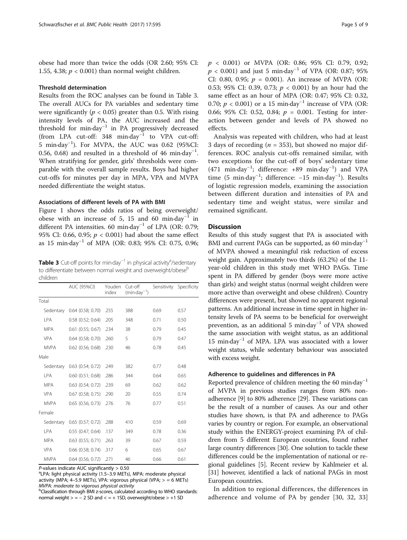<span id="page-4-0"></span>obese had more than twice the odds (OR 2.60; 95% CI: 1.55, 4.38;  $p < 0.001$ ) than normal weight children.

#### Threshold determination

Results from the ROC analyses can be found in Table [3](#page-3-0). The overall AUCs for PA variables and sedentary time were significantly ( $p < 0.05$ ) greater than 0.5. With rising intensity levels of PA, the AUC increased and the threshold for min·day−<sup>1</sup> in PA progressively decreased (from LPA cut-off: 348 min·day−<sup>1</sup> to VPA cut-off: 5 min·day−<sup>1</sup> ). For MVPA, the AUC was 0.62 (95%CI: 0.56, 0.68) and resulted in a threshold of 46 min·day<sup>-1</sup>. When stratifying for gender, girls' thresholds were comparable with the overall sample results. Boys had higher cut-offs for minutes per day in MPA, VPA and MVPA needed differentiate the weight status.

## Associations of different levels of PA with BMI

Figure [1](#page-5-0) shows the odds ratios of being overweight/ obese with an increase of 5, 15 and 60 min·day<sup>-1</sup> in different PA intensities. 60 min·day<sup>-1</sup> of LPA (OR: 0.79; 95% CI: 0.66, 0.95;  $p < 0.001$ ) had about the same effect as 15 min·day−<sup>1</sup> of MPA (OR: 0.83; 95% CI: 0.75, 0.96;

Table 3 Cut-off points for min·day<sup>-1</sup> in physical activity<sup>a</sup>/sedentary to differentiate between normal weight and overweight/obese<sup>b</sup> children

|             | AUC (95%CI)           | Youden<br>index | Cut-off<br>$(min-day^{-1})$ | Sensitivity Specificity |      |
|-------------|-----------------------|-----------------|-----------------------------|-------------------------|------|
| Total       |                       |                 |                             |                         |      |
| Sedentary   | $0.64$ $(0.58; 0.70)$ | .255            | 388                         | 0.69                    | 0.57 |
| LPA         | $0.58$ $(0.52; 0.64)$ | .205            | 348                         | 0.71                    | 0.50 |
| <b>MPA</b>  | $0.61$ (0.55; 0.67)   | .234            | 38                          | 0.79                    | 0.45 |
| <b>VPA</b>  | $0.64$ $(0.58; 0.70)$ | .260            | 5                           | 0.79                    | 0.47 |
| <b>MVPA</b> | $0.62$ (0.56; 0.68)   | .230            | 46                          | 0.78                    | 0.45 |
| Male        |                       |                 |                             |                         |      |
| Sedentary   | $0.63$ $(0.54; 0.72)$ | .249            | 382                         | 0.77                    | 0.48 |
| <b>LPA</b>  | $0.60$ $(0.51; 0.68)$ | .286            | 344                         | 0.64                    | 0.65 |
| <b>MPA</b>  | $0.63$ $(0.54; 0.72)$ | .239            | 69                          | 0.62                    | 0.62 |
| <b>VPA</b>  | $0.67$ $(0.58; 0.75)$ | .290            | 20                          | 0.55                    | 0.74 |
| <b>MVPA</b> | $0.65$ $(0.56; 0.73)$ | .276            | 76                          | 0.77                    | 0.51 |
| Female      |                       |                 |                             |                         |      |
| Sedentary   | $0.65$ $(0.57; 0.72)$ | .288            | 410                         | 0.59                    | 0.69 |
| LPA         | $0.55$ (0.47; 0.64)   | .137            | 349                         | 0.78                    | 0.36 |
| <b>MPA</b>  | $0.63$ $(0.55; 0.71)$ | .263            | 39                          | 0.67                    | 0.59 |
| <b>VPA</b>  | $0.66$ $(0.58; 0.74)$ | .317            | 6                           | 0.65                    | 0.67 |
| <b>MVPA</b> | $0.64$ $(0.56; 0.72)$ | .271            | 46                          | 0.66                    | 0.61 |

 $P$ -values indicate AUC significantly  $> 0.50$ 

<sup>a</sup>LPA: light physical activity (1.5–3.9 METs), MPA: moderate physical activity (MPA; 4-5.9 METs), VPA: vigorous physical (VPA;  $>$  = 6 METs) MVPA: moderate to vigorous physical activity

<sup>b</sup>Classification through BMI z-scores, calculated according to WHO standards: normal weight > = − 2 SD and < = + 1SD, overweight/obese > +1 SD

p < 0.001) or MVPA (OR: 0.86; 95% CI: 0.79, 0.92;  $p$  < 0.001) and just 5 min·day<sup>-1</sup> of VPA (OR: 0.87; 95% CI: 0.80, 0.95;  $p = 0.001$ ). An increase of MVPA (OR: 0.53; 95% CI: 0.39, 0.73;  $p < 0.001$ ) by an hour had the same effect as an hour of MPA (OR: 0.47; 95% CI: 0.32, 0.70;  $p < 0.001$ ) or a 15 min·day<sup>-1</sup> increase of VPA (OR: 0.66; 95% CI: 0.52, 0.84;  $p = 0.001$ . Testing for interaction between gender and levels of PA showed no effects.

Analysis was repeated with children, who had at least 3 days of recording ( $n = 353$ ), but showed no major differences. ROC analysis cut-offs remained similar, with two exceptions for the cut-off of boys' sedentary time (471 min·day−<sup>1</sup> ; difference: +89 min·day−<sup>1</sup> ) and VPA time (5 min·day−<sup>1</sup> ; difference: −15 min·day−<sup>1</sup> ). Results of logistic regression models, examining the association between different duration and intensities of PA and sedentary time and weight status, were similar and remained significant.

# **Discussion**

Results of this study suggest that PA is associated with BMI and current PAGs can be supported, as 60 min·day<sup>-1</sup> of MVPA showed a meaningful risk reduction of excess weight gain. Approximately two thirds (63.2%) of the 11 year-old children in this study met WHO PAGs. Time spent in PA differed by gender (boys were more active than girls) and weight status (normal weight children were more active than overweight and obese children). Country differences were present, but showed no apparent regional patterns. An additional increase in time spent in higher intensity levels of PA seems to be beneficial for overweight prevention, as an additional 5 min·day−<sup>1</sup> of VPA showed the same association with weight status, as an additional 15 min·day−<sup>1</sup> of MPA. LPA was associated with a lower weight status, while sedentary behaviour was associated with excess weight.

## Adherence to guidelines and differences in PA

Reported prevalence of children meeting the 60 min·day−<sup>1</sup> of MVPA in previous studies ranges from 80% nonadherence [\[9](#page-7-0)] to 80% adherence [[29](#page-8-0)]. These variations can be the result of a number of causes. As our and other studies have shown, is that PA and adherence to PAGs varies by country or region. For example, an observational study within the ENERGY-project examining PA of children from 5 different European countries, found rather large country differences [\[30\]](#page-8-0). One solution to tackle these differences could be the implementation of national or regional guidelines [\[5](#page-7-0)]. Recent review by Kahlmeier et al. [[31](#page-8-0)] however, identified a lack of national PAGs in most European countries.

In addition to regional differences, the differences in adherence and volume of PA by gender [[30, 32](#page-8-0), [33](#page-8-0)]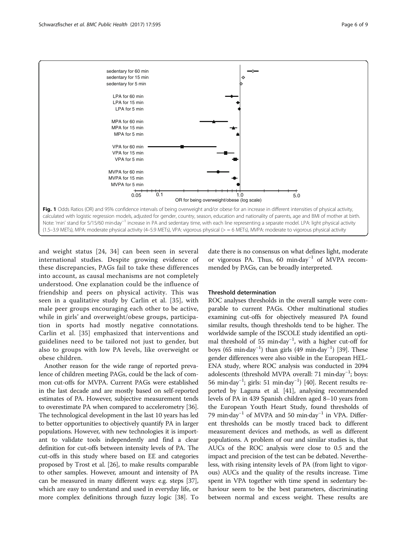<span id="page-5-0"></span>

and weight status [[24, 34](#page-8-0)] can been seen in several international studies. Despite growing evidence of these discrepancies, PAGs fail to take these differences into account, as causal mechanisms are not completely understood. One explanation could be the influence of friendship and peers on physical activity. This was seen in a qualitative study by Carlin et al. [[35](#page-8-0)], with male peer groups encouraging each other to be active, while in girls' and overweight/obese groups, participation in sports had mostly negative connotations. Carlin et al. [[35](#page-8-0)] emphasized that interventions and guidelines need to be tailored not just to gender, but also to groups with low PA levels, like overweight or obese children.

Another reason for the wide range of reported prevalence of children meeting PAGs, could be the lack of common cut-offs for MVPA. Current PAGs were established in the last decade and are mostly based on self-reported estimates of PA. However, subjective measurement tends to overestimate PA when compared to accelerometry [[36](#page-8-0)]. The technological development in the last 10 years has led to better opportunities to objectively quantify PA in larger populations. However, with new technologies it is important to validate tools independently and find a clear definition for cut-offs between intensity levels of PA. The cut-offs in this study where based on EE and categories proposed by Trost et al. [\[26](#page-8-0)], to make results comparable to other samples. However, amount and intensity of PA can be measured in many different ways: e.g. steps [[37](#page-8-0)], which are easy to understand and used in everyday life, or more complex definitions through fuzzy logic [\[38\]](#page-8-0). To date there is no consensus on what defines light, moderate or vigorous PA. Thus, 60 min·day−<sup>1</sup> of MVPA recommended by PAGs, can be broadly interpreted.

## Threshold determination

ROC analyses thresholds in the overall sample were comparable to current PAGs. Other multinational studies examining cut-offs for objectively measured PA found similar results, though thresholds tend to be higher. The worldwide sample of the ISCOLE study identified an optimal threshold of 55 min·day<sup>-1</sup>, with a higher cut-off for boys (65 min·day<sup>-1</sup>) than girls (49 min·day<sup>-1</sup>) [\[39\]](#page-8-0). These gender differences were also visible in the European HEL-ENA study, where ROC analysis was conducted in 2094 adolescents (threshold MVPA overall: 71 min·day<sup>-1</sup>; boys: 56 min·day−<sup>1</sup> ; girls: 51 min·day−<sup>1</sup> ) [\[40\]](#page-8-0). Recent results reported by Laguna et al. [[41](#page-8-0)], analysing recommended levels of PA in 439 Spanish children aged 8–10 years from the European Youth Heart Study, found thresholds of 79 min·day−<sup>1</sup> of MVPA and 50 min·day−<sup>1</sup> in VPA. Different thresholds can be mostly traced back to different measurement devices and methods, as well as different populations. A problem of our and similar studies is, that AUCs of the ROC analysis were close to 0.5 and the impact and precision of the test can be debated. Nevertheless, with rising intensity levels of PA (from light to vigorous) AUCs and the quality of the results increase. Time spent in VPA together with time spend in sedentary behaviour seem to be the best parameters, discriminating between normal and excess weight. These results are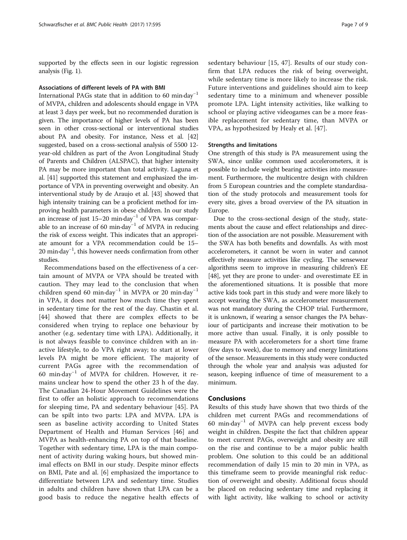supported by the effects seen in our logistic regression analysis (Fig. [1\)](#page-5-0).

#### Associations of different levels of PA with BMI

International PAGs state that in addition to 60 min·day−<sup>1</sup> of MVPA, children and adolescents should engage in VPA at least 3 days per week, but no recommended duration is given. The importance of higher levels of PA has been seen in other cross-sectional or interventional studies about PA and obesity. For instance, Ness et al. [[42](#page-8-0)] suggested, based on a cross-sectional analysis of 5500 12 year-old children as part of the Avon Longitudinal Study of Parents and Children (ALSPAC), that higher intensity PA may be more important than total activity. Laguna et al. [\[41\]](#page-8-0) supported this statement and emphasized the importance of VPA in preventing overweight and obesity. An interventional study by de Araujo et al. [[43](#page-8-0)] showed that high intensity training can be a proficient method for improving health parameters in obese children. In our study an increase of just 15–20 min·day−<sup>1</sup> of VPA was comparable to an increase of 60 min·day−<sup>1</sup> of MVPA in reducing the risk of excess weight. This indicates that an appropriate amount for a VPA recommendation could be 15– 20 min⋅day<sup>-1</sup>, this however needs confirmation from other studies.

Recommendations based on the effectiveness of a certain amount of MVPA or VPA should be treated with caution. They may lead to the conclusion that when children spend 60 min·day<sup>-1</sup> in MVPA or 20 min·day<sup>-1</sup> in VPA, it does not matter how much time they spent in sedentary time for the rest of the day. Chastin et al. [[44\]](#page-8-0) showed that there are complex effects to be considered when trying to replace one behaviour by another (e.g. sedentary time with LPA). Additionally, it is not always feasible to convince children with an inactive lifestyle, to do VPA right away; to start at lower levels PA might be more efficient. The majority of current PAGs agree with the recommendation of 60 min·day−<sup>1</sup> of MVPA for children. However, it remains unclear how to spend the other 23 h of the day. The Canadian 24-Hour Movement Guidelines were the first to offer an holistic approach to recommendations for sleeping time, PA and sedentary behaviour [\[45](#page-8-0)]. PA can be spilt into two parts: LPA and MVPA. LPA is seen as baseline activity according to United States Department of Health and Human Services [[46\]](#page-8-0) and MVPA as health-enhancing PA on top of that baseline. Together with sedentary time, LPA is the main component of activity during waking hours, but showed minimal effects on BMI in our study. Despite minor effects on BMI, Pate and al. [[6](#page-7-0)] emphasized the importance to differentiate between LPA and sedentary time. Studies in adults and children have shown that LPA can be a good basis to reduce the negative health effects of sedentary behaviour [[15, 47\]](#page-8-0). Results of our study confirm that LPA reduces the risk of being overweight, while sedentary time is more likely to increase the risk. Future interventions and guidelines should aim to keep sedentary time to a minimum and whenever possible promote LPA. Light intensity activities, like walking to school or playing active videogames can be a more feasible replacement for sedentary time, than MVPA or VPA, as hypothesized by Healy et al. [\[47](#page-8-0)].

#### Strengths and limitations

One strength of this study is PA measurement using the SWA, since unlike common used accelerometers, it is possible to include weight bearing activities into measurement. Furthermore, the multicentre design with children from 5 European countries and the complete standardisation of the study protocols and measurement tools for every site, gives a broad overview of the PA situation in Europe.

Due to the cross-sectional design of the study, statements about the cause and effect relationships and direction of the association are not possible. Measurement with the SWA has both benefits and downfalls. As with most accelerometers, it cannot be worn in water and cannot effectively measure activities like cycling. The sensewear algorithms seem to improve in measuring children's EE [[48](#page-8-0)], yet they are prone to under- and overestimate EE in the aforementioned situations. It is possible that more active kids took part in this study and were more likely to accept wearing the SWA, as accelerometer measurement was not mandatory during the CHOP trial. Furthermore, it is unknown, if wearing a sensor changes the PA behaviour of participants and increase their motivation to be more active than usual. Finally, it is only possible to measure PA with accelerometers for a short time frame (few days to week), due to memory and energy limitations of the sensor. Measurements in this study were conducted through the whole year and analysis was adjusted for season, keeping influence of time of measurement to a minimum.

# Conclusions

Results of this study have shown that two thirds of the children met current PAGs and recommendations of 60 min·day−<sup>1</sup> of MVPA can help prevent excess body weight in children. Despite the fact that children appear to meet current PAGs, overweight and obesity are still on the rise and continue to be a major public health problem. One solution to this could be an additional recommendation of daily 15 min to 20 min in VPA, as this timeframe seem to provide meaningful risk reduction of overweight and obesity. Additional focus should be placed on reducing sedentary time and replacing it with light activity, like walking to school or activity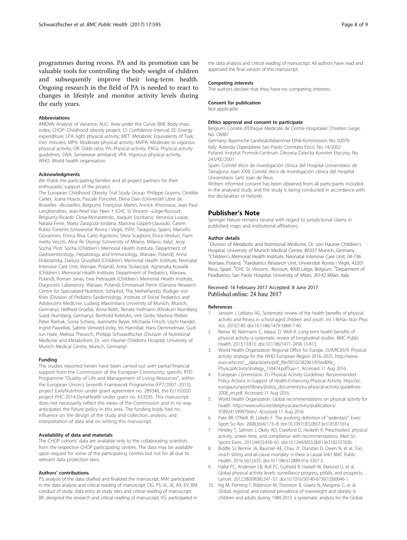<span id="page-7-0"></span>programmes during recess. PA and its promotion can be valuable tools for controlling the body weight of children and subsequently improve their long-term health. Ongoing research in the field of PA is needed to react to changes in lifestyle and monitor activity levels during the early years.

#### Abbreviations

ANOVA: Analysis of Variance; AUC: Area under the Curve; BMI: Body mass index; CHOP: Childhood obesity project; CI: Confidence Interval; EE: Energy expenditure; LPA: light physical activity; MET: Metabolic Equivalents of Task; min: minutes; MPA: Moderate physical activity; MVPA: Moderate to vigorous physical activity; OR: Odds ratio; PA: Physical activity; PAGs: Physical activity guidelines; SWA: Sensewear armband; VPA: Vigorous physical activity; WHO: World health organisation

#### Acknowledgments

We thank the participating families and all project partners for their enthusiastic support of the project.

The European Childhood Obesity Trial Study Group: Philippe Goyens, Clotilde Carlier, Joana Hoyos, Pascale Poncelet, Elena Dain (Université Libre de Bruxelles –Brusselles, Belgium); Françoise Martin, Annick Xhonneux, Jean-Paul Langhendries, Jean-Noel Van Hees † (CHC St Vincent –Liège-Rocourt, Belgium); Ricardo Closa-Monasterolo, Joaquin Escribano, Veronica Luque, Natalia Ferre, Marta Zaragoza-Jordana, Mariona Gispert-Llauradó, Carem Rubio-Torrents (Universitat Rovira i Virgili, IISPV, Taragona, Spain); Marcello Giovannini, Enrica Riva, Carlo Agostoni, Silvia Scaglioni, Elvira Verduci, Fiammetta Vecchi, Alice Re Dionigi (University of Milano, Milano, Italy); Jerzy Socha, Piotr Socha (Children's Memorial Health Institute, Department of Gastroenterology, Hepatology and Immunology, Warsaw, Poland); Anna Dobrzańska, Dariusz Gruszfeld (Children's Memorial Health Institute, Neonatal Intensive Care Unit, Warsaw, Poland); Anna Stolarczyk, Agnieszka Kowalik (Children's Memorial Health Institute, Department of Pediatrics, Warsaw, Poland); Roman Janas, Ewa Pietraszek (Children's Memorial Health Institute, Diagnostic Laboratory, Warsaw, Poland); Emmanuel Perrin (Danone Research Centre for Specialized Nutrition, Schiphol, The Netherlands); Rüdiger von Kries (Division of Pediatric Epidemiology, Institute of Social Pediatrics and Adolescent Medicine, Ludwig Maximilians University of Munich, Munich, Germany); Helfried Groebe, Anna Reith, Renate Hofmann (Klinikum Nurnberg Sued, Nurnberg, Germany); Berthold Koletzko, Veit Grote, Martina Weber, Peter Rzehak, Sonia Schiess, Jeannette Beyer, Michaela Fritsch, Uschi Handel, Ingrid Pawellek, Sabine Verwied-Jorky, Iris Hannibal, Hans Demmelmair, Gudrun Haile, Melissa Theurich, Phillipp Schwarzfischer (Division of Nutritional Medicine and Metabolism, Dr. von Hauner Childrens Hospital, University of Munich Medical Centre, Munich, Germany)

#### Funding

The studies reported herein have been carried out with partial financial support from the Commission of the European Community, specific RTD Programme "Quality of Life and Management of Living Resources", within the European Union's Seventh Framework Programme (FP7/2007–2013), project EarlyNutrition under grant agreement no. 289346, the EU H2020 project PHC-2014-DynaHealth under grant no. 633595. This manuscript does not necessarily reflect the views of the Commission and in no way anticipates the future policy in this area. The funding body had no influence on the design of the study and collection, analysis, and interpretation of data and on writing this manuscript.

#### Availability of data and materials

The CHOP cohorts' data are available only to the collaborating scientists from the respective CHOP participating centres. The data may be available upon request for some of the participating centres but not for all due to relevant data protection laws.

#### Authors' contributions

PS: analysis of the data, drafted and finalized the manuscript; MW: participated in the data analysis and critical reading of manuscript; DG, PS, VL, JE, AX, EV, BM: conduct of study, data entry at study sites and critical reading of manuscript; BK: designed the research and critical reading of manuscript; VG: participated in

the data analysis and critical reading of manuscript. All authors have read and approved the final version of this manuscript.

#### Competing interests

The authors declare that they have no competing interests.

#### Consent for publication

Not applicable.

#### Ethics approval and consent to participate

Belgium: Comitè d'Ethique Medicale de Centre Hospitalier Chretien Liege; No. OM87

Germany: Bayerische Landesärztekammer Ethik-Kommission, No. 02070 Italy: Azienda Ospedaliera San Paolo Comitato Etico, No 14/2002 Poland: Instytut Pomnik-Centrum Zdrowia Dziecka Komitet Etyczny, No 243/KE/2001

Spain: Comité ético de investigación clínica del Hospital Universitario de Tarragona Joan XXIII, Comité ético de investigación clínica del Hospital Universitario Sant Joan de Reus

Written informed consent has been obtained from all participants included in the analysed study and the study is being conducted in accordance with the declaration of Helsinki.

#### Publisher's Note

Springer Nature remains neutral with regard to jurisdictional claims in published maps and institutional affiliations.

#### Author details

<sup>1</sup> Division of Metabolic and Nutritional Medicine, Dr. von Hauner Children's Hospital, University of Munich Medical Centre, 80337 Munich, Germany. <sup>2</sup>Children's Memorial Health Institute, Neonatal Intensive Care Unit, 04-736 Warsaw, Poland. <sup>3</sup>Paediatrics Research Unit, Universitat Rovira i Virgili, 43201 Reus, Spain. <sup>4</sup>CHC St. Vincent, -Rocourt, 4000 Liège, Belgium. <sup>5</sup>Deparment of Peadiatrics, San Paolo Hospital, University of Milan, 20142 Milan, Italy.

# Received: 16 February 2017 Accepted: 8 June 2017

#### References

- 1. Janssen I, Leblanc AG. Systematic review of the health benefits of physical activity and fitness in school-aged children and youth. Int J Behav Nutr Phys Act. 2010;7:40. doi[:10.1186/1479-5868-7-40](http://dx.doi.org/10.1186/1479-5868-7-40).
- 2. Reiner M, Niermann C, Jekauc D, Woll A. Long-term health benefits of physical activity–a systematic review of longitudinal studies. BMC Public Health. 2013;13:813. doi[:10.1186/1471-2458-13-813.](http://dx.doi.org/10.1186/1471-2458-13-813)
- 3. World Health Organization Regional Office for Europe. EUR/RC65/9: Physical activity strategy for the WHO European Region 2016–2025. [http://www.](http://www.euro.who.int/__data/assets/pdf_file/0010/282961/65wd09e_PhysicalActivityStrategy_150474.pdf?ua=1) [euro.who.int/\\_\\_data/assets/pdf\\_file/0010/282961/65wd09e\\_](http://www.euro.who.int/__data/assets/pdf_file/0010/282961/65wd09e_PhysicalActivityStrategy_150474.pdf?ua=1) [PhysicalActivityStrategy\\_150474.pdf?ua=1](http://www.euro.who.int/__data/assets/pdf_file/0010/282961/65wd09e_PhysicalActivityStrategy_150474.pdf?ua=1). Accessed 11 Aug 2016.
- 4. European Commission. EU Physical Activity Guidelines: Recommended Policy Actions in Support of Health-Enhancing Physical Activity. [http://ec.](http://ec.europa.eu/sport/library/policy_documents/eu-physical-activity-guidelines-2008_en.pdf) [europa.eu/sport/library/policy\\_documents/eu-physical-activity-guidelines-](http://ec.europa.eu/sport/library/policy_documents/eu-physical-activity-guidelines-2008_en.pdf)[2008\\_en.pdf.](http://ec.europa.eu/sport/library/policy_documents/eu-physical-activity-guidelines-2008_en.pdf) Accessed 11 Aug 2016.
- 5. World Health Organization. Global recommendations on physical activity for health. [http://www.who.int/dietphysicalactivity/publications/](http://www.who.int/dietphysicalactivity/publications/9789241599979/en) [9789241599979/en/](http://www.who.int/dietphysicalactivity/publications/9789241599979/en). Accessed 11 Aug 2016.
- 6. Pate RR, O'Neill JR, Lobelo F. The evolving definition of "sedentary". Exerc Sport Sci Rev. 2008;36(4):173–8. doi[:10.1097/JES.0b013e3181877d1a.](http://dx.doi.org/10.1097/JES.0b013e3181877d1a)
- 7. Hinkley T, Salmon J, Okely AD, Crawford D, Hesketh K. Preschoolers' physical activity, screen time, and compliance with recommendations. Med Sci Sports Exerc. 2012;44(3):458–65. doi[:10.1249/MSS.0b013e318233763b.](http://dx.doi.org/10.1249/MSS.0b013e318233763b)
- 8. Biddle SJ, Bennie JA, Bauman AE, Chau JY, Dunstan D, Owen N, et al. Too much sitting and all-cause mortality: is there a causal link? BMC Public Health. 2016;16(1):635. doi[:10.1186/s12889-016-3307-3.](http://dx.doi.org/10.1186/s12889-016-3307-3)
- 9. Hallal PC, Andersen LB, Bull FC, Guthold R, Haskell W, Ekelund U, et al. Global physical activity levels: surveillance progress, pitfalls, and prospects. Lancet. 2012;380(9838):247–57. doi:[10.1016/S0140-6736\(12\)60646-1.](http://dx.doi.org/10.1016/S0140-6736(12)60646-1)
- 10. Ng M, Fleming T, Robinson M, Thomson B, Graetz N, Margono C, et al. Global, regional, and national prevalence of overweight and obesity in children and adults during 1980-2013: a systematic analysis for the Global